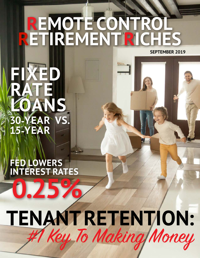# **REMOTE CONTROL RETIREMENTRICHES SEPTEMBER 2019**

**FIXED RATE DANS 30-YEAR VS. 15-YEAR**

**FED LOWERS INTEREST RATES**

**0.25%**

# **TENANT RETENTION:** #1 Key To Making Money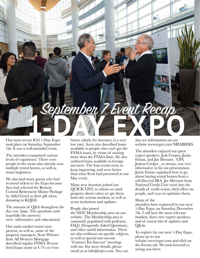

Our most recent ICG 1-Day Expo took place on Saturday, September 7th. It was a well-attended event.

The attendees comprised various levels of experience. There were people in the room who already own multiple rental homes, as well as many beginners.

We also had many guests who had received tickets to the Expo because they had selected the Remote Control Retirement Master Package by Adiel Gorel as their gift when donating to KQED.

The amount of Q&A throughout the day was large. The questions (and hopefully the answers) were informative and educational.

Our main market teams were present, as well as some of the property managers. Scott Webster from All Western Mortgage described regular FNMA 30-year fixed loans (some at 4.7% or even

better, which, for investors, is a very low rate). Scott also described loans available to people who can't get the FNMA loans, by virtue of owning more than the FNMA limit. He also outlined loans available to foreign investors. The loan terms seem to keep improving, and were better than what Scott had presented at our May event.

Many new investors joined our QUICK LIST, to whom we send property sheets when we get them from the various markets, as well as event invitations and updates.

People also joined the NEW Membership area on our website. The Membership area is constantly populated with podcasts, FAQ's (Frequently Asked Questions), and other useful information. There are also webinars on specific subjects, as well as special one-on-one "Connect For Success" meetings with me. For more details, please email us at info@icgre.com. You can

also see information on our website www.icgre.com/MEMBERS.

The attendees enjoyed our guest expert speakers: Josh Cooper, Justin Farian, and Joe Merante. CPA Joshua Cooper , as always, was very informative in his tax presentation. Justin Farian explained how to go about buying rental homes from a self-directed IRA. Joe Merante from National Credit Care went into the details of credit scores, their effect on people, and ways to optimize them.

#### Many of the

attendees have registered to our next 1-Day Expo, on Saturday, December 7th. I will host the most relevant markets, three new expert speakers, and of course lots of updates and Q&As.

To register for our next 1-Day Expo, please go to our website www.icgre.com and click on the Events tab. We look forward to seeing you there.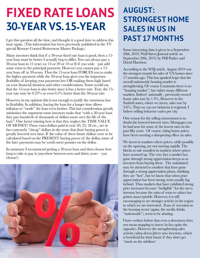# **FIXED RATE LOANS 30-YEAR VS.15-YEAR**

I get this question all the time, and thought it a good time to address this issue again. (This information has been previously published in the TV special Remote Control Retirement Master Package.)

Many investors think that if a 30-year fixed rate loan is good, then a 15 year loan must be better. I actually beg to differ. You can always pay a 30-year loan in 15 years (or 14 or 20 or 10 or 8) if you wish – just add some extra to the principal payment. However you cannot pay a 15 year loan off in 30-years. Thus the 15-year loan FORCES you to make the higher payment while the 30-year loan gives you the important flexibility of keeping your payments low OR making them high based on your financial situation and other considerations. Some would say that the 15-year loan is also better since it has a better rate. True, the 15 year rate may be 0.25% or even 0.5% better than the 30-year rate.

However, in my opinion this is not enough to justify the enormous loss in flexibility. In addition, having the loan for a longer time allows inflation to "erode" the loan even further. This last consideration greatly minimizes the argument some investors make that "with a 30-year loan they pay hundreds of thousands of dollars more over the life of the loan". One factor missing here is that they neglect the TIME VALUE OF MONEY! These extra dollars paid in year 20, 22, 28 etc., are in fact extremely "cheap" dollars in the sense that their buying power is greatly lowered over time. If the value of these future dollars were to be calculated based on the PRESENT buying power of the dollar, some of the later payments may be worth mere pennies on the dollar.

In summary I recommend getting a 30-year loan and then choose how long to take to pay it (anywhere between zero and thirty years – you choose!).



## **AUGUST: STRONGEST HOME SALES IN US IN PAST 17 MONTHS**

Some interesting data is given in a September 20th, 2019, Wall Street Journal article on September 20th, 2019, by Will Parker and David Harrison.

According to the WSJ article, August 2019 was the strongest month for sales of US homes since 17 months ago. This has sparked hope that the overall nationwide housing market is strengthening. Of course  $\overline{I}$  maintain there is no "housing market", but rather many different markets. Indeed nationally , previously-owned home sales rose by 1.3%. However in the Sunbelt states, where we invest, sales rose by 3.6%. Thus we can see behavior is regional. I believe selling behavior varies per city.

One reason for the selling momentum is no doubt the lowered interest rates. Mortgages can be had now for some of the lowest rates in the past fifty years. Of course, rising home prices have been exerting a dampening effect on sales.

We invest in markets where prices, while possibly on the upswing, are not moving rapidly. The blocks to sale manifest in markets where prices have zoomed up. The very fact a market has gone through strong appreciation keeps us as investors from buying there. The uninitiated may be attracted to markets that have gone through a strong appreciation phase, thinking they are "hot", but we know that when price appreciation has been strong, rents usually lag behind. Thus markets that have exhibited strong price increases become "ineligible" for the savvy investor, because the ratio of rents to values has gotten unacceptable. However, it is still encouraging to see stronger activity in the region in which we are interested. Fears of recession in the housing sector (again, the media thinks "nationwide"), seem to be abating.

I have written before that even a downturn does not mean stopping to invest (in fact quite the opposite). However the strengthening sales activity calms down jittery new investors, which is beneficial for their future if they don't get "stuck on the sidelines'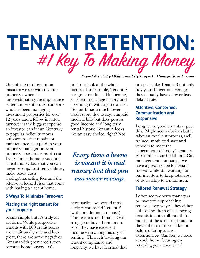# **TENANT RETENTION:** #1 Key To Making Money

One of the most common mistakes we see with investor property owners is underestimating the importance of tenant retention. As someone who has been managing investment properties for over 12 years and a fellow investor, turnover is the biggest expense an investor can incur. Contrary to popular belief, turnover outpaces routine repairs or maintenance, fees paid to your property manager or even property taxes in terms of cost. Every time a home is vacant it is real money lost that you can never recoup. Lost rent, utilities, make ready costs,

leasing/marketing fees and the often-overlooked risks that come with having a vacant home.

#### **3 Ways To Minimize Turnover:**

### **Placing the right tenant for your property**

Seems simple but it's truly an art form. While prospective tenants with 800 credit scores are traditionally safe and look great, there are some negatives. Tenants with great credit soon become home buyers. We

prefer to look at the whole picture. For example, Tenant A has great credit, stable income, excellent mortgage history and is coming in with a job transfer. Tenant B has a much lower credit score due to say…unpaid medical bills but does possess good income and long term rental history. Tenant A looks like an easy choice, right? Not

*Every time a home is vacant it is real money lost that you can never recoup.*

necessarily…we would most likely recommend Tenant B (with an additional deposit). The reasons are Tenant B will struggle to buy a home soon. Also, they have excellent income with a long history of renting. Through tracking our tenant compliance and longevity, we have learned that prospects like Tenant B not only stay years longer on average, they actually have a lower lease default rate.

### **Attentive, Concerned, Communication and Responsive**

Long term, good tenants expect this. Might seem obvious but it takes an excellent process, well trained, motivated staff and vendors to meet the expectations of today's tenants. At Camber (our Oklahoma City management company), we have a great recipe for tenant success while still working for our investors to keep total cost of ownership to a minimum.

### **Tailored Renewal Strategy**

I often see property managers or investors approaching renewals two ways: They either fail to send them out, allowing tenants to auto-roll month to month at the same rent rate, or they fail to consider all factors before offering a lease extension. At Camber, we look at each home focusing on retaining your tenant and

## *Expert Article by Oklahoma City Property Manager Josh Farmer*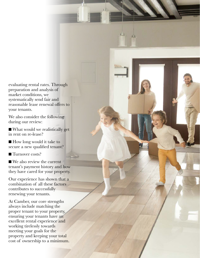evaluating rental rates. Through preparation and analysis of market conditions, we systematically send fair and reasonable lease renewal offers to your tenants.

i<sup>ll</sup>i,

 $\mathbf{r}^{\text{th}}$ 

We also consider the following during our review:

■ What would we realistically get in rent on re-lease?

■ How long would it take to secure a new qualified tenant?

■ Turnover costs?

■ We also review the current tenant's payment history and how they have cared for your property.

Our experience has shown that a combination of all these factors contributes to successfully renewing your tenants.

At Camber, our core strengths always include matching the proper tenant to your property, ensuring your tenants have an excellent rental experience and working tirelessly towards meeting your goals for the property and keeping your total cost of ownership to a minimum.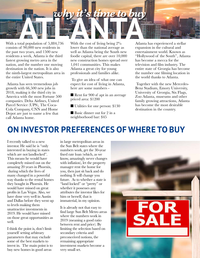

With a total population of 5,884,736 consists of 90,000 new residents in the past two years, and 1500 new residents a week, Atlanta is the third fastest growing metro area in the nation, and the number one moving destination in the nation. It is also the ninth-largest metropolitan area in the entire United States.

Atlanta has seen tremendous job growth with 66,500 new jobs in 2018, making it the third city in America with the most Fortune 500 companies. Delta Airlines, United Parcel Service (UPS), The Coca-Cola Company, CNN and Home Depot are just to name a few that call Atlanta home.

With the cost of living being  $2\%$ lower than the national average as well as Atlanta being the South new foodie capital, there are over 10,000 new construction homes spread over 1,041 communities. This makes Atlanta a great city for young professionals and families alike.

To give an idea of what one can expect for cost of living in Atlanta, here are some numbers -

■ Rent for 900 sf apt in an average priced area: \$1200

■ Utilities for one person: \$130

■ Basic dinner out for 2 in a neighborhood bar: \$45

Atlanta has experienced a stellar expansion in the cultural and entertainment world. Known as "Hollywood of the South", Atlanta has become a mecca for the television and film industry. The entire state of Georgia has become the number one filming location in the world thanks to Atlanta.

Together with the new Mercedes-Benz Stadium, Emory University, University of Georgia, Six Flags, Zoo Atlanta, museums and other family growing attractions, Atlanta has become the most desirable destination in the country.

## **ON INVESTOR PREFERENCES OF WHERE TO BUY**

I recently talked to a new investor. He said he is "only interested in buying in states which are not landlocked". This means he would have completely missed out on the amazing 20 years in Phoenix, during which the lives of many changed in a powerful way thanks to the rental homes they bought in Phoenix. He would have missed on great profits in Las Vegas. Also, we have done very well in Austin and Dallas before they went up to levels making them unattractive investments in 2019. He would have missed on those great opportunities as well.

I think the point is, don't limit yourself setting arbitrary parameters that may exclude some of the best markets to invest in. The main point is to buy new homes in good areas

in large metropolitan areas in the Sun Belt states where the numbers work, get the 30-year fixed rate loan (which, as we know, amazingly never changes with inflation), let the property manager rent the home for you, then just sit back and do nothing. It will change you future. As to whether a state is "land locked" or "pretty" or whether it possesses any attributes the investor likes for him or herself, that is immaterial, in my opinion.

It is already not that easy to find large Sun Belt Metro areas where the numbers work in 2019 (meaning a good ratio between rent and price). By limiting the selection based on secondary criteria and preconceived notions, the remaining appropriate investment markets become a very small set.

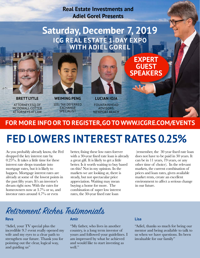**Real Estate Investments and Adiel Gorel Presents**

## **Saturday, December 7, 2019 ICG REAL ESTATE 1-DAY EXPO WITH ADIEL GOREL**



**BRETT LYTLE** ATTORNEY, ESQ.OF MCDOWALL COTTER ATTORNEYS AT LAW



**WEIMING PENG** 1031 TAX DEFERRED EXCHANGE SPECIALIST



**LUCIAN IOJA** FOUNTAINHEAD ADVISORS, NEWPORT BEACH

## **FOR MORE INFO OR TO REGISTER,GO TO WWW.ICGRE.COM/EVENTS**

## **FED LOWERS INTEREST RATES 0.25%**

As you probably already know, the Fed dropped the key interest rate by 0.25%. It takes a little time for these interest rate drops translate into mortgage rates, but it is likely to happen. Mortgage interest rates are already at some of the lowest points in the past fifty years. It's an investor's dream right now. With the rates for homeowners now at 3.7% or so, and investor rates around 4.7% or even

better, fixing these low rates forever with a 30-year fixed rate loan is already a great gift. It is likely to get a little better. Is it worth waiting to buy based on this? Not in my opinion. In the markets we are looking at, there is steady, but not spectacular price appreciation. Waiting may mean buying a home for more. The combination of super low interest rates, the 30-year fixed rate loan

(remember, the 30 year fixed rate loan does not have to be paid in 30 years. It can be in 11 years, 19 years, or any other time of choice). In the relevant markets, the current combination of prices and loan rates, given available market rents, create an excellent environment to affect a serious change in our future.

## Retirement Riches Testimonials

#### **Reva**

"Adiel, your TV special plus the incredible 9.7 event really opened my wife and my eyes to a clear path to strengthen our future. Thank you for pointing out the clear, logical way, and guiding us"

#### **Amir**

"My father, who lives in another country, is a long term investor of yours and followed your guidelines. I am impressed by what he achieved and would like to start investing as well."

#### **Lisa**

**EXPERT**

**GUEST SPEAKERS**

> "Adiel, thanks so much for being our mentor and being available to talk to us when we have questions. Its been invaluable for our family"